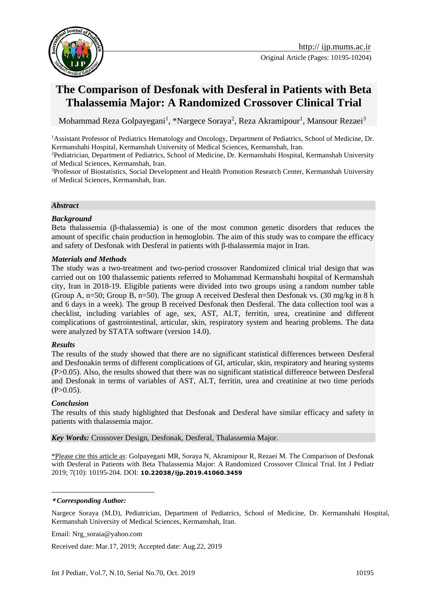

# **The Comparison of Desfonak with Desferal in Patients with Beta Thalassemia Major: A Randomized Crossover Clinical Trial**

Mohammad Reza Golpayegani<sup>1</sup>, \*Nargece Soraya<sup>2</sup>, Reza Akramipour<sup>1</sup>, Mansour Rezaei<sup>3</sup>

<sup>1</sup>Assistant Professor of Pediatrics Hematology and Oncology, Department of Pediatrics, School of Medicine, Dr. Kermanshahi Hospital, Kermanshah University of Medical Sciences, Kermanshah, Iran.

<sup>2</sup>Pediatrician, Department of Pediatrics, School of Medicine, Dr. Kermanshahi Hospital, Kermanshah University of Medical Sciences, Kermanshah, Iran.

<sup>3</sup>Professor of Biostatistics, Social Development and Health Promotion Research Center, Kermanshah University of Medical Sciences, Kermanshah, Iran.

#### *Abstract*

#### *Background*

Beta thalassemia (β-thalassemia) is one of the most common genetic disorders that reduces the amount of specific chain production in hemoglobin. The aim of this study was to compare the efficacy and safety of Desfonak with Desferal in patients with β-thalassemia major in Iran.

#### *Materials and Methods*

The study was a two-treatment and two-period crossover Randomized clinical trial design that was carried out on 100 thalassemic patients referred to Mohammad Kermanshahi hospital of Kermanshah city, Iran in 2018-19. Eligible patients were divided into two groups using a random number table (Group A,  $n=50$ ; Group B,  $n=50$ ). The group A received Desferal then Desfonak vs. (30 mg/kg in 8 h and 6 days in a week). The group B received Desfonak then Desferal. The data collection tool was a checklist, including variables of age, sex, AST, ALT, ferritin, urea, creatinine and different complications of gastrointestinal, articular, skin, respiratory system and hearing problems. The data were analyzed by STATA software (version 14.0).

#### *Results*

The results of the study showed that there are no significant statistical differences between Desferal and Desfonakin terms of different complications of GI, articular, skin, respiratory and hearing systems (P>0.05). Also, the results showed that there was no significant statistical difference between Desferal and Desfonak in terms of variables of AST, ALT, ferritin, urea and creatinine at two time periods  $(P>0.05)$ .

#### *Conclusion*

1

The results of this study highlighted that Desfonak and Desferal have similar efficacy and safety in patients with thalassemia major.

*Key Words:* Crossover Design, Desfonak, Desferal, Thalassemia Major.

\*Please cite this article as: Golpayegani MR, Soraya N, Akramipour R, Rezaei M. The Comparison of Desfonak with Desferal in Patients with Beta Thalassemia Major: A Randomized Crossover Clinical Trial. Int J Pediatr 2019; 7(10): 10195-204. DOI: **10.22038/ijp.2019.41060.3459**

#### **\*** *Corresponding Author:*

Nargece Soraya (M.D), Pediatrician, Department of Pediatrics, School of Medicine, Dr. Kermanshahi Hospital, Kermanshah University of Medical Sciences, Kermanshah, Iran.

Email: Nrg\_soraia@yahoo.com

Received date: Mar.17, 2019; Accepted date: Aug.22, 2019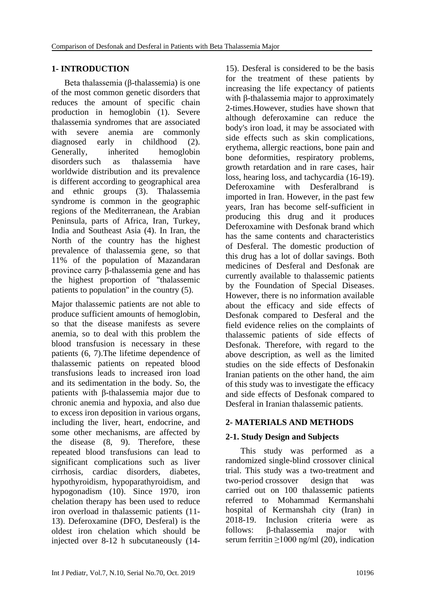# **1- INTRODUCTION**

 Beta thalassemia (β-thalassemia) is one of the most common genetic disorders that reduces the amount of specific chain production in hemoglobin (1). Severe thalassemia syndromes that are associated with severe anemia are commonly diagnosed early in childhood (2). Generally, inherited hemoglobin disorders such as thalassemia have worldwide distribution and its prevalence is different according to geographical area and ethnic groups (3). Thalassemia syndrome is common in the geographic regions of the Mediterranean, the Arabian Peninsula, parts of Africa, Iran, Turkey, India and Southeast Asia (4). In Iran, the North of the country has the highest prevalence of thalassemia gene, so that 11% of the population of Mazandaran province carry β-thalassemia gene and has the highest proportion of "thalassemic patients to population" in the country (5).

Major thalassemic patients are not able to produce sufficient amounts of hemoglobin, so that the disease manifests as severe anemia, so to deal with this problem the blood transfusion is necessary in these patients (6, 7).The lifetime dependence of thalassemic patients on repeated blood transfusions leads to increased iron load and its sedimentation in the body. So, the patients with β-thalassemia major due to chronic anemia and hypoxia, and also due to excess iron deposition in various organs, including the liver, heart, endocrine, and some other mechanisms, are affected by the disease (8, 9). Therefore, these repeated blood transfusions can lead to significant complications such as liver cirrhosis, cardiac disorders, diabetes, hypothyroidism, hypoparathyroidism, and hypogonadism (10). Since 1970, iron chelation therapy has been used to reduce iron overload in thalassemic patients (11- 13). Deferoxamine (DFO, Desferal) is the oldest iron chelation which should be injected over 8-12 h subcutaneously (14-

15). Desferal is considered to be the basis for the treatment of these patients by increasing the life expectancy of patients with β-thalassemia major to approximately 2-times.However, studies have shown that although deferoxamine can reduce the body's iron load, it may be associated with side effects such as skin complications, erythema, allergic reactions, bone pain and bone deformities, respiratory problems, growth retardation and in rare cases, hair loss, hearing loss, and tachycardia (16-19). Deferoxamine with Desferalbrand is imported in Iran. However, in the past few years, Iran has become self-sufficient in producing this drug and it produces Deferoxamine with Desfonak brand which has the same contents and characteristics of Desferal. The domestic production of this drug has a lot of dollar savings. Both medicines of Desferal and Desfonak are currently available to thalassemic patients by the Foundation of Special Diseases. However, there is no information available about the efficacy and side effects of Desfonak compared to Desferal and the field evidence relies on the complaints of thalassemic patients of side effects of Desfonak. Therefore, with regard to the above description, as well as the limited studies on the side effects of Desfonakin Iranian patients on the other hand, the aim of this study was to investigate the efficacy and side effects of Desfonak compared to Desferal in Iranian thalassemic patients.

# **2- MATERIALS AND METHODS**

### **2-1. Study Design and Subjects**

 This study was performed as a randomized single-blind crossover clinical trial. This study was a two-treatment and two-period crossover design that was carried out on 100 thalassemic patients referred to Mohammad Kermanshahi hospital of Kermanshah city (Iran) in 2018-19. Inclusion criteria were as follows: β-thalassemia major with serum ferritin  $\geq 1000$  ng/ml (20), indication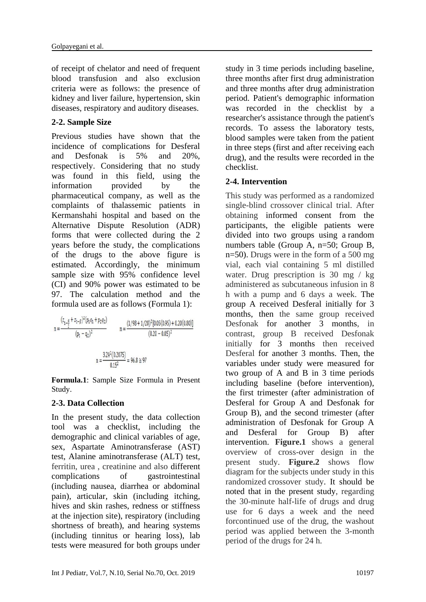of receipt of chelator and need of frequent blood transfusion and also exclusion criteria were as follows: the presence of kidney and liver failure, hypertension, skin diseases, respiratory and auditory diseases.

#### **2-2. Sample Size**

Previous studies have shown that the incidence of complications for Desferal and Desfonak is 5% and 20%, respectively. Considering that no study was found in this field, using the information provided by the pharmaceutical company, as well as the complaints of thalassemic patients in Kermanshahi hospital and based on the Alternative Dispute Resolution (ADR) forms that were collected during the 2 years before the study, the complications of the drugs to the above figure is estimated. Accordingly, the minimum sample size with 95% confidence level (CI) and 90% power was estimated to be 97. The calculation method and the formula used are as follows (Formula 1):

$$
n = \frac{(z_{1-\frac{\alpha}{2}} + z_{1-\beta})^2 (p_1 q_1 + p_2 q_2)}{(p_1 - q_2)^2}
$$
  

$$
n = \frac{(1/98 + 1/28)^2 [0.05(0.95) + 0.20(0.80)]}{(0.20 - 0.05)^2}
$$
  

$$
n = \frac{3.24^2 (0.2075)}{0.15^2} = 96.8 \approx 97
$$

**Formula.1**: Sample Size Formula in Present Study.

### **2-3. Data Collection**

In the present study, the data collection tool was a checklist, including the demographic and clinical variables of age, sex, Aspartate Aminotransferase (AST) test, Alanine aminotransferase (ALT) test, ferritin, urea , creatinine and also different complications of gastrointestinal (including nausea, diarrhea or abdominal pain), articular, skin (including itching, hives and skin rashes, redness or stiffness at the injection site), respiratory (including shortness of breath), and hearing systems (including tinnitus or hearing loss), lab tests were measured for both groups under

study in 3 time periods including baseline, three months after first drug administration and three months after drug administration period. Patient's demographic information was recorded in the checklist by a researcher's assistance through the patient's records. To assess the laboratory tests, blood samples were taken from the patient in three steps (first and after receiving each drug), and the results were recorded in the checklist.

### **2-4. Intervention**

This study was performed as a randomized single-blind crossover clinical trial. After obtaining informed consent from the participants, the eligible patients were divided into two groups using a random numbers table (Group A, n=50; Group B, n=50). Drugs were in the form of a 500 mg vial, each vial containing 5 ml distilled water. Drug prescription is 30 mg / kg administered as subcutaneous infusion in 8 h with a pump and 6 days a week. The group A received Desferal initially for 3 months, then the same group received Desfonak for another 3 months, in contrast, group B received Desfonak initially for 3 months then received Desferal for another 3 months. Then, the variables under study were measured for two group of A and B in 3 time periods including baseline (before intervention), the first trimester (after administration of Desferal for Group A and Desfonak for Group B), and the second trimester (after administration of Desfonak for Group A and Desferal for Group B) after intervention. **Figure.1** shows a general overview of cross-over design in the present study. **Figure.2** shows flow diagram for the subjects under study in this randomized crossover study. It should be noted that in the present study, regarding the 30-minute half-life of drugs and drug use for 6 days a week and the need forcontinued use of the drug, the washout period was applied between the 3-month period of the drugs for 24 h.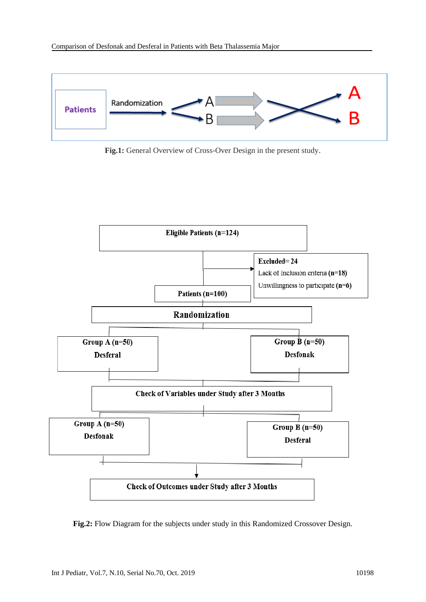

**Fig.1:** General Overview of Cross-Over Design in the present study.



**Fig.2:** Flow Diagram for the subjects under study in this Randomized Crossover Design.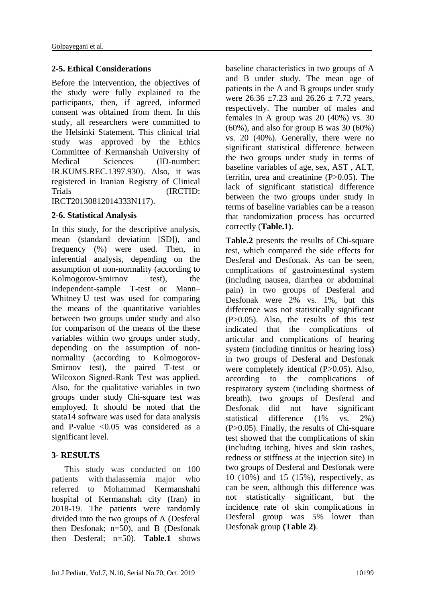### **2-5. Ethical Considerations**

Before the intervention, the objectives of the study were fully explained to the participants, then, if agreed, informed consent was obtained from them. In this study, all researchers were committed to the Helsinki Statement. This clinical trial study was approved by the Ethics Committee of Kermanshah University of Medical Sciences (ID-number: IR.KUMS.REC.1397.930). Also, it was registered in Iranian Registry of Clinical Trials (IRCTID: IRCT20130812014333N117).

### **2-6. Statistical Analysis**

In this study, for the descriptive analysis, mean (standard deviation [SD]), and frequency (%) were used. Then, in inferential analysis, depending on the assumption of non-normality (according to Kolmogorov-Smirnov test), the independent-sample T-test or Mann– Whitney U test was used for comparing the means of the quantitative variables between two groups under study and also for comparison of the means of the these variables within two groups under study, depending on the assumption of nonnormality (according to Kolmogorov-Smirnov test), the paired T-test or Wilcoxon Signed-Rank Test was applied. Also, for the qualitative variables in two groups under study Chi-square test was employed. It should be noted that the stata14 software was used for data analysis and P-value  $\leq 0.05$  was considered as a significant level.

### **3- RESULTS**

 This study was conducted on 100 patients with thalassemia major who referred to Mohammad Kermanshahi hospital of Kermanshah city (Iran) in 2018-19. The patients were randomly divided into the two groups of A (Desferal then Desfonak; n=50), and B (Desfonak then Desferal; n=50). **Table.1** shows

baseline characteristics in two groups of A and B under study. The mean age of patients in the A and B groups under study were  $26.36 \pm 7.23$  and  $26.26 \pm 7.72$  years, respectively. The number of males and females in A group was 20 (40%) vs. 30 (60%), and also for group B was 30 (60%) vs. 20 (40%). Generally, there were no significant statistical difference between the two groups under study in terms of baseline variables of age, sex, AST , ALT, ferritin, urea and creatinine (P>0.05). The lack of significant statistical difference between the two groups under study in terms of baseline variables can be a reason that randomization process has occurred correctly (**Table.1)**.

**Table.2** presents the results of Chi-square test, which compared the side effects for Desferal and Desfonak. As can be seen, complications of gastrointestinal system (including nausea, diarrhea or abdominal pain) in two groups of Desferal and Desfonak were 2% vs. 1%, but this difference was not statistically significant (P>0.05). Also, the results of this test indicated that the complications of articular and complications of hearing system (including tinnitus or hearing loss) in two groups of Desferal and Desfonak were completely identical (P>0.05). Also, according to the complications of respiratory system (including shortness of breath), two groups of Desferal and Desfonak did not have significant statistical difference (1% vs. 2%) (P>0.05). Finally, the results of Chi-square test showed that the complications of skin (including itching, hives and skin rashes, redness or stiffness at the injection site) in two groups of Desferal and Desfonak were 10 (10%) and 15 (15%), respectively, as can be seen, although this difference was not statistically significant, but the incidence rate of skin complications in Desferal group was 5% lower than Desfonak group **(Table 2)**.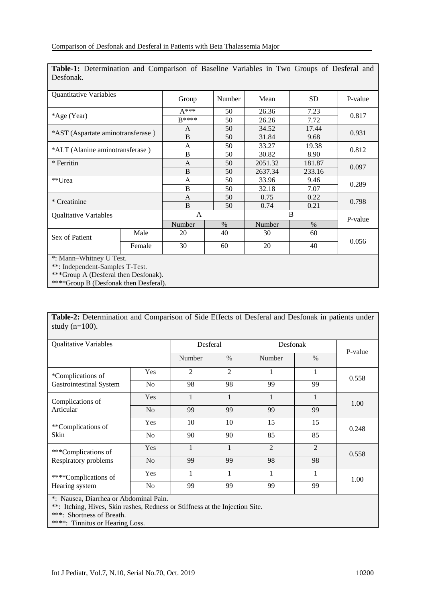| Desfonak.                         |        |                |        |         |           |         |  |
|-----------------------------------|--------|----------------|--------|---------|-----------|---------|--|
| Quantitative Variables            |        | Group          | Number | Mean    | <b>SD</b> | P-value |  |
| *Age (Year)                       |        | $A***$         | 50     | 26.36   | 7.23      | 0.817   |  |
|                                   |        | $R****$        | 50     | 26.26   | 7.72      |         |  |
| *AST (Aspartate aminotransferase) |        | A              | 50     | 34.52   | 17.44     |         |  |
|                                   |        | B              | 50     | 31.84   | 9.68      | 0.931   |  |
| *ALT (Alanine aminotransferase)   |        | A              | 50     | 33.27   | 19.38     |         |  |
|                                   |        | B              | 50     | 30.82   | 8.90      | 0.812   |  |
| * Ferritin                        |        | A              | 50     | 2051.32 | 181.87    | 0.097   |  |
|                                   |        | B              | 50     | 2637.34 | 233.16    |         |  |
| **Urea                            |        | A              | 50     | 33.96   | 9.46      | 0.289   |  |
|                                   |        | B              | 50     | 32.18   | 7.07      |         |  |
| * Creatinine                      |        | $\overline{A}$ | 50     | 0.75    | 0.22      | 0.798   |  |
|                                   |        | B              | 50     | 0.74    | 0.21      |         |  |
| <b>Qualitative Variables</b>      |        | A              |        | B       |           | P-value |  |
|                                   |        | Number         | $\%$   | Number  | $\%$      |         |  |
| Sex of Patient                    | Male   | 20             | 40     | 30      | 60        | 0.056   |  |
|                                   | Female | 30             | 60     | 20      | 40        |         |  |
| *: Mann-Whitney U Test.           |        |                |        |         |           |         |  |
|                                   |        |                |        |         |           |         |  |

**Table-1:** Determination and Comparison of Baseline Variables in Two Groups of Desferal and Desfonak.

\*\*: Independent-Samples T-Test.

\*\*\*Group A (Desferal then Desfonak).

\*\*\*\*Group B (Desfonak then Desferal).

**Table-2:** Determination and Comparison of Side Effects of Desferal and Desfonak in patients under study  $(n=100)$ .

| <b>Qualitative Variables</b>                        |                | Desferal       |                | Desfonak       |                | P-value |
|-----------------------------------------------------|----------------|----------------|----------------|----------------|----------------|---------|
|                                                     |                | Number         | $\%$           | Number         | $\frac{0}{0}$  |         |
| *Complications of<br><b>Gastrointestinal System</b> | Yes            | $\overline{2}$ | $\overline{2}$ |                |                | 0.558   |
|                                                     | N <sub>o</sub> | 98             | 98             | 99             | 99             |         |
| Complications of<br>Articular                       | Yes            | 1              |                |                |                | 1.00    |
|                                                     | N <sub>o</sub> | 99             | 99             | 99             | 99             |         |
| **Complications of<br>Skin                          | Yes            | 10             | 10             | 15             | 15             | 0.248   |
|                                                     | No             | 90             | 90             | 85             | 85             |         |
| ***Complications of<br>Respiratory problems         | Yes            | 1              | 1              | $\mathfrak{D}$ | $\mathfrak{D}$ | 0.558   |
|                                                     | No             | 99             | 99             | 98             | 98             |         |
| ****Complications of<br>Hearing system              | Yes            | 1              | 1              | 1              | 1              | 1.00    |
|                                                     | N <sub>o</sub> | 99             | 99             | 99             | 99             |         |

\*: Nausea, Diarrhea or Abdominal Pain.

\*\*: Itching, Hives, Skin rashes, Redness or Stiffness at the Injection Site.

\*\*\*: Shortness of Breath.

\*\*\*\*: Tinnitus or Hearing Loss.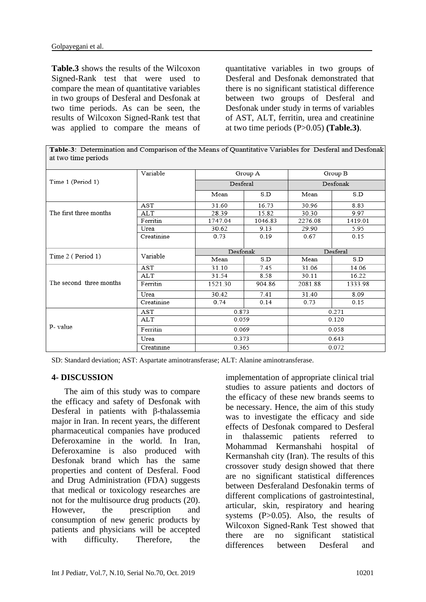**Table.3** shows the results of the Wilcoxon Signed-Rank test that were used to compare the mean of quantitative variables in two groups of Desferal and Desfonak at two time periods. As can be seen, the results of Wilcoxon Signed-Rank test that was applied to compare the means of

quantitative variables in two groups of Desferal and Desfonak demonstrated that there is no significant statistical difference between two groups of Desferal and Desfonak under study in terms of variables of AST, ALT, ferritin, urea and creatinine at two time periods (P>0.05) **(Table.3)**.

Table-3: Determination and Comparison of the Means of Quantitative Variables for Desferal and Desfonak at two time periods

|                         | Variable   |          | Group A | Group B  |         |  |  |  |
|-------------------------|------------|----------|---------|----------|---------|--|--|--|
| Time 1 (Period 1)       |            | Desferal |         | Desfonak |         |  |  |  |
|                         |            | Mean     | S.D     | Mean     | S.D     |  |  |  |
|                         | AST        | 31.60    | 16.73   | 30.96    | 8.83    |  |  |  |
| The first three months  | ALT        | 28.39    | 15.82   | 30.30    | 9.97    |  |  |  |
|                         | Ferritin   | 1747.04  | 1046.83 | 2276.08  | 1419.01 |  |  |  |
|                         | Urea       | 30.62    | 9.13    | 29.90    | 5.95    |  |  |  |
|                         | Creatinine | 0.73     | 0.19    | 0.67     | 0.15    |  |  |  |
|                         | Variable   | Desfonak |         | Desferal |         |  |  |  |
| Time 2 (Period 1)       |            | Mean     | S.D     | Mean     | S.D     |  |  |  |
|                         | AST        | 31.10    | 7.45    | 31.06    | 14.06   |  |  |  |
|                         | ALT        | 31.54    | 8.58    | 30.11    | 16.22   |  |  |  |
| The second three months | Ferritin   | 1521.30  | 904.86  | 2081.88  | 1333.98 |  |  |  |
|                         | Urea       | 30.42    | 7.41    | 31.40    | 8.09    |  |  |  |
|                         | Creatinine | 0.74     | 0.14    | 0.73     | 0.15    |  |  |  |
|                         | AST        | 0.873    |         | 0.271    |         |  |  |  |
|                         | ALT        | 0.059    |         | 0.120    |         |  |  |  |
| P-value                 | Ferritin   | 0.069    |         | 0.058    |         |  |  |  |
|                         | Urea       | 0.373    |         | 0.643    |         |  |  |  |
|                         | Creatinine | 0.365    |         | 0.072    |         |  |  |  |

SD: Standard deviation; AST: Aspartate aminotransferase; ALT: Alanine aminotransferase.

#### **4- DISCUSSION**

 The aim of this study was to compare the efficacy and safety of Desfonak with Desferal in patients with β-thalassemia major in Iran. In recent years, the different pharmaceutical companies have produced Deferoxamine in the world. In Iran, Deferoxamine is also produced with Desfonak brand which has the same properties and content of Desferal. Food and Drug Administration (FDA) suggests that medical or toxicology researches are not for the multisource drug products (20). However, the prescription and consumption of new generic products by patients and physicians will be accepted with difficulty. Therefore, the

implementation of appropriate clinical trial studies to assure patients and doctors of the efficacy of these new brands seems to be necessary. Hence, the aim of this study was to investigate the efficacy and side effects of Desfonak compared to Desferal in thalassemic patients referred to Mohammad Kermanshahi hospital of Kermanshah city (Iran). The results of this crossover study design showed that there are no significant statistical differences between Desferaland Desfonakin terms of different complications of gastrointestinal, articular, skin, respiratory and hearing systems (P>0.05). Also, the results of Wilcoxon Signed-Rank Test showed that there are no significant statistical differences between Desferal and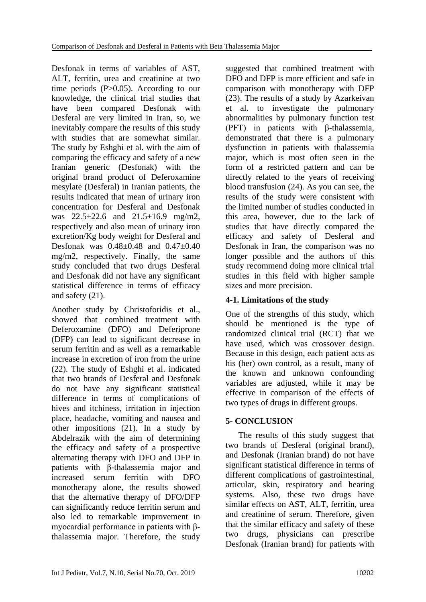Desfonak in terms of variables of AST, ALT, ferritin, urea and creatinine at two time periods (P>0.05). According to our knowledge, the clinical trial studies that have been compared Desfonak with Desferal are very limited in Iran, so, we inevitably compare the results of this study with studies that are somewhat similar. The study by Eshghi et al. with the aim of comparing the efficacy and safety of a new Iranian generic (Desfonak) with the original brand product of Deferoxamine mesylate (Desferal) in Iranian patients, the results indicated that mean of urinary iron concentration for Desferal and Desfonak was 22.5±22.6 and 21.5±16.9 mg/m2, respectively and also mean of urinary iron excretion/Kg body weight for Desferal and Desfonak was 0.48±0.48 and 0.47±0.40 mg/m2, respectively. Finally, the same study concluded that two drugs Desferal and Desfonak did not have any significant statistical difference in terms of efficacy and safety (21).

Another study by Christoforidis et al., showed that combined treatment with Deferoxamine (DFO) and Deferiprone (DFP) can lead to significant decrease in serum ferritin and as well as a remarkable increase in excretion of iron from the urine (22). The study of Eshghi et al. indicated that two brands of Desferal and Desfonak do not have any significant statistical difference in terms of complications of hives and itchiness, irritation in injection place, headache, vomiting and nausea and other impositions (21). In a study by [Abdelrazik](https://www.tandfonline.com/author/Abdelrazik%2C+Nabil) with the aim of determining the efficacy and safety of a prospective alternating therapy with DFO and DFP in patients with β-thalassemia major and increased serum ferritin with DFO monotherapy alone, the results showed that the alternative therapy of DFO/DFP can significantly reduce ferritin serum and also led to remarkable improvement in myocardial performance in patients with βthalassemia major. Therefore, the study

suggested that combined treatment with DFO and DFP is more efficient and safe in comparison with monotherapy with DFP (23). The results of a study by Azarkeivan et al. to investigate the pulmonary abnormalities by pulmonary function test (PFT) in patients with β-thalassemia, demonstrated that there is a pulmonary dysfunction in patients with thalassemia major, which is most often seen in the form of a restricted pattern and can be directly related to the years of receiving blood transfusion (24). As you can see, the results of the study were consistent with the limited number of studies conducted in this area, however, due to the lack of studies that have directly compared the efficacy and safety of Desferal and Desfonak in Iran, the comparison was no longer possible and the authors of this study recommend doing more clinical trial studies in this field with higher sample sizes and more precision.

# **4-1. Limitations of the study**

One of the strengths of this study, which should be mentioned is the type of randomized clinical trial (RCT) that we have used, which was crossover design. Because in this design, each patient acts as his (her) own control, as a result, many of the known and unknown confounding variables are adjusted, while it may be effective in comparison of the effects of two types of drugs in different groups.

# **5- CONCLUSION**

 The results of this study suggest that two brands of Desferal (original brand), and Desfonak (Iranian brand) do not have significant statistical difference in terms of different complications of gastrointestinal, articular, skin, respiratory and hearing systems. Also, these two drugs have similar effects on AST, ALT, ferritin, urea and creatinine of serum. Therefore, given that the similar efficacy and safety of these two drugs, physicians can prescribe Desfonak (Iranian brand) for patients with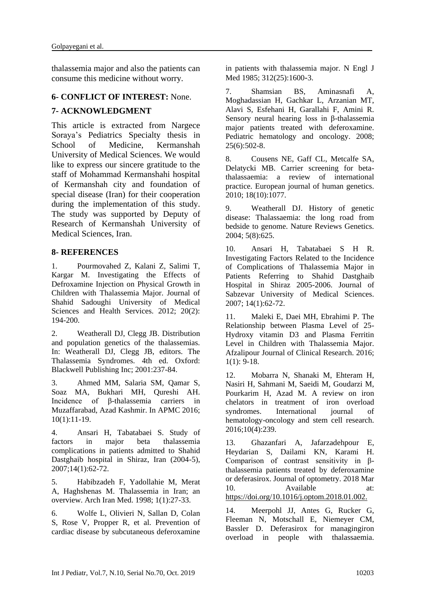thalassemia major and also the patients can consume this medicine without worry.

#### **6- CONFLICT OF INTEREST:** None.

#### **7- ACKNOWLEDGMENT**

This article is extracted from Nargece Soraya's Pediatrics Specialty thesis in School of Medicine, Kermanshah University of Medical Sciences. We would like to express our sincere gratitude to the staff of Mohammad Kermanshahi hospital of Kermanshah city and foundation of special disease (Iran) for their cooperation during the implementation of this study. The study was supported by Deputy of Research of Kermanshah University of Medical Sciences, Iran.

#### **8- REFERENCES**

1. Pourmovahed Z, Kalani Z, Salimi T, Kargar M. Investigating the Effects of Defroxamine Injection on Physical Growth in Children with Thalassemia Major. Journal of Shahid Sadoughi University of Medical Sciences and Health Services. 2012: 20(2): 194-200.

2. Weatherall DJ, Clegg JB. Distribution and population genetics of the thalassemias. In: Weatherall DJ, Clegg JB, editors. The Thalassemia Syndromes. 4th ed. Oxford: Blackwell Publishing Inc; 2001:237-84.

3. Ahmed MM, Salaria SM, Qamar S, Soaz MA, Bukhari MH, Qureshi AH. Incidence of β-thalassemia carriers in Muzaffarabad, Azad Kashmir. In APMC 2016; 10(1):11-19.

4. Ansari H, Tabatabaei S. Study of factors in major beta thalassemia complications in patients admitted to Shahid Dastghaib hospital in Shiraz, Iran (2004-5), 2007;14(1):62-72.

5. Habibzadeh F, Yadollahie M, Merat A, Haghshenas M. Thalassemia in Iran; an overview. Arch Iran Med. 1998; 1(1):27-33.

6. Wolfe L, Olivieri N, Sallan D, Colan S, Rose V, Propper R, et al. Prevention of cardiac disease by subcutaneous deferoxamine

in patients with thalassemia major. N Engl J Med 1985; 312(25):1600-3.

7. Shamsian BS, Aminasnafi A, Moghadassian H, Gachkar L, Arzanian MT, Alavi S, Esfehani H, Garallahi F, Amini R. Sensory neural hearing loss in β-thalassemia major patients treated with deferoxamine. Pediatric hematology and oncology. 2008; 25(6):502-8.

8. Cousens NE, Gaff CL, Metcalfe SA, Delatycki MB. Carrier screening for betathalassaemia: a review of international practice. European journal of human genetics. 2010; 18(10):1077.

9. Weatherall DJ. History of genetic disease: Thalassaemia: the long road from bedside to genome. Nature Reviews Genetics. 2004; 5(8):625.

10. Ansari H, Tabatabaei S H R. Investigating Factors Related to the Incidence of Complications of Thalassemia Major in Patients Referring to Shahid Dastghaib Hospital in Shiraz 2005-2006. Journal of Sabzevar University of Medical Sciences. 2007; 14(1):62-72.

11. Maleki E, Daei MH, Ebrahimi P. The Relationship between Plasma Level of 25- Hydroxy vitamin D3 and Plasma Ferritin Level in Children with Thalassemia Major. Afzalipour Journal of Clinical Research. 2016;  $1(1): 9-18.$ 

12. Mobarra N, Shanaki M, Ehteram H, Nasiri H, Sahmani M, Saeidi M, Goudarzi M, Pourkarim H, Azad M. A review on iron chelators in treatment of iron overload syndromes. International journal of hematology-oncology and stem cell research. 2016;10(4):239.

13. Ghazanfari A, Jafarzadehpour E, Heydarian S, Dailami KN, Karami H. Comparison of contrast sensitivity in βthalassemia patients treated by deferoxamine or deferasirox. Journal of optometry. 2018 Mar 10. Available at: https://doi.org/10.1016/j.optom.2018.01.002.

14. Meerpohl JJ, Antes G, Rucker G, Fleeman N, Motschall E, Niemeyer CM, Bassler D. Deferasirox for managingiron overload in people with thalassaemia.